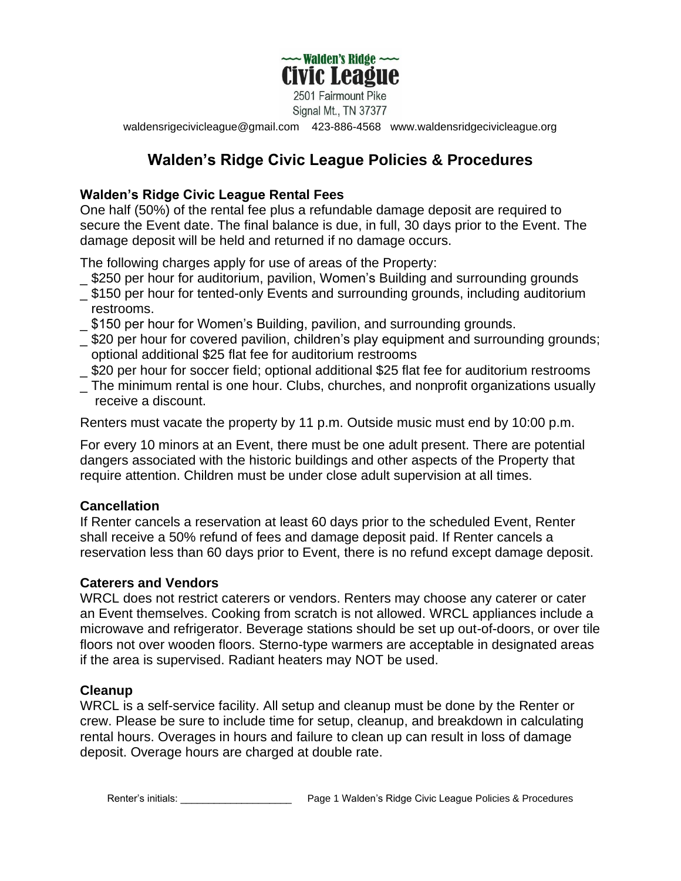

2501 Fairmount Pike Signal Mt., TN 37377

[waldensrigecivicleague@gmail.com](mailto:waldensrigecivicleague@gmail.com) 423-886-4568 www.waldensridgecivicleague.org

# **Walden's Ridge Civic League Policies & Procedures**

## **Walden's Ridge Civic League Rental Fees**

One half (50%) of the rental fee plus a refundable damage deposit are required to secure the Event date. The final balance is due, in full, 30 days prior to the Event. The damage deposit will be held and returned if no damage occurs.

The following charges apply for use of areas of the Property:

- \_ \$250 per hour for auditorium, pavilion, Women's Building and surrounding grounds
- \_ \$150 per hour for tented-only Events and surrounding grounds, including auditorium restrooms.
- \_ \$150 per hour for Women's Building, pavilion, and surrounding grounds.
- \_ \$20 per hour for covered pavilion, children's play equipment and surrounding grounds; optional additional \$25 flat fee for auditorium restrooms
- \_ \$20 per hour for soccer field; optional additional \$25 flat fee for auditorium restrooms
- \_ The minimum rental is one hour. Clubs, churches, and nonprofit organizations usually receive a discount.

Renters must vacate the property by 11 p.m. Outside music must end by 10:00 p.m.

For every 10 minors at an Event, there must be one adult present. There are potential dangers associated with the historic buildings and other aspects of the Property that require attention. Children must be under close adult supervision at all times.

#### **Cancellation**

If Renter cancels a reservation at least 60 days prior to the scheduled Event, Renter shall receive a 50% refund of fees and damage deposit paid. If Renter cancels a reservation less than 60 days prior to Event, there is no refund except damage deposit.

#### **Caterers and Vendors**

WRCL does not restrict caterers or vendors. Renters may choose any caterer or cater an Event themselves. Cooking from scratch is not allowed. WRCL appliances include a microwave and refrigerator. Beverage stations should be set up out-of-doors, or over tile floors not over wooden floors. Sterno-type warmers are acceptable in designated areas if the area is supervised. Radiant heaters may NOT be used.

#### **Cleanup**

WRCL is a self-service facility. All setup and cleanup must be done by the Renter or crew. Please be sure to include time for setup, cleanup, and breakdown in calculating rental hours. Overages in hours and failure to clean up can result in loss of damage deposit. Overage hours are charged at double rate.

Renter's initials: The Same Communication of the Page 1 Walden's Ridge Civic League Policies & Procedures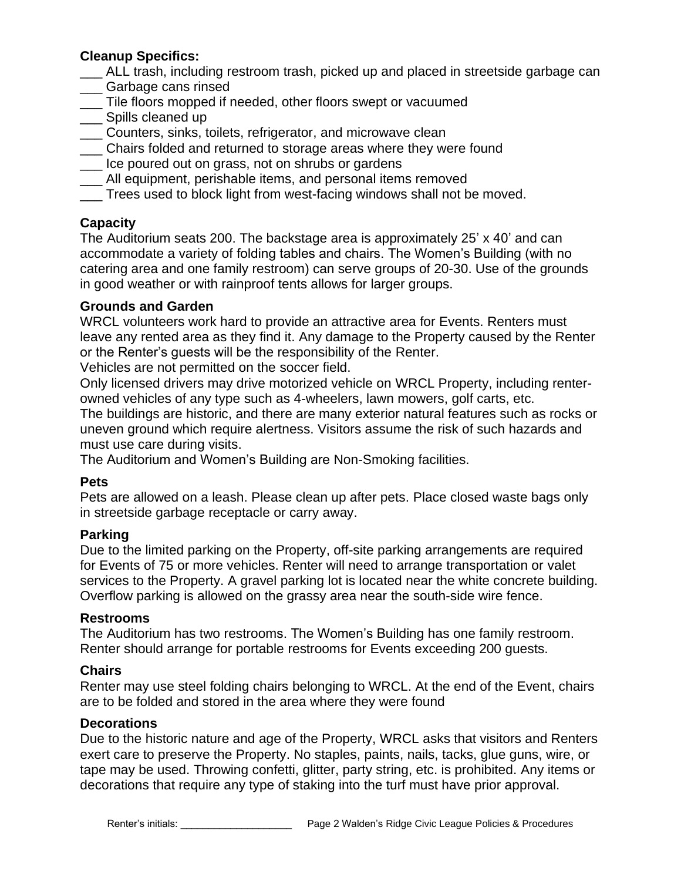## **Cleanup Specifics:**

- \_\_\_ ALL trash, including restroom trash, picked up and placed in streetside garbage can \_\_\_ Garbage cans rinsed
- \_\_\_ Tile floors mopped if needed, other floors swept or vacuumed
- \_\_\_ Spills cleaned up
- \_\_\_ Counters, sinks, toilets, refrigerator, and microwave clean
- \_\_\_ Chairs folded and returned to storage areas where they were found
- \_\_\_ Ice poured out on grass, not on shrubs or gardens
- All equipment, perishable items, and personal items removed
- \_\_\_ Trees used to block light from west-facing windows shall not be moved.

## **Capacity**

The Auditorium seats 200. The backstage area is approximately 25' x 40' and can accommodate a variety of folding tables and chairs. The Women's Building (with no catering area and one family restroom) can serve groups of 20-30. Use of the grounds in good weather or with rainproof tents allows for larger groups.

#### **Grounds and Garden**

WRCL volunteers work hard to provide an attractive area for Events. Renters must leave any rented area as they find it. Any damage to the Property caused by the Renter or the Renter's guests will be the responsibility of the Renter.

Vehicles are not permitted on the soccer field.

Only licensed drivers may drive motorized vehicle on WRCL Property, including renterowned vehicles of any type such as 4-wheelers, lawn mowers, golf carts, etc.

The buildings are historic, and there are many exterior natural features such as rocks or uneven ground which require alertness. Visitors assume the risk of such hazards and must use care during visits.

The Auditorium and Women's Building are Non-Smoking facilities.

#### **Pets**

Pets are allowed on a leash. Please clean up after pets. Place closed waste bags only in streetside garbage receptacle or carry away.

#### **Parking**

Due to the limited parking on the Property, off-site parking arrangements are required for Events of 75 or more vehicles. Renter will need to arrange transportation or valet services to the Property. A gravel parking lot is located near the white concrete building. Overflow parking is allowed on the grassy area near the south-side wire fence.

#### **Restrooms**

The Auditorium has two restrooms. The Women's Building has one family restroom. Renter should arrange for portable restrooms for Events exceeding 200 guests.

#### **Chairs**

Renter may use steel folding chairs belonging to WRCL. At the end of the Event, chairs are to be folded and stored in the area where they were found

#### **Decorations**

Due to the historic nature and age of the Property, WRCL asks that visitors and Renters exert care to preserve the Property. No staples, paints, nails, tacks, glue guns, wire, or tape may be used. Throwing confetti, glitter, party string, etc. is prohibited. Any items or decorations that require any type of staking into the turf must have prior approval.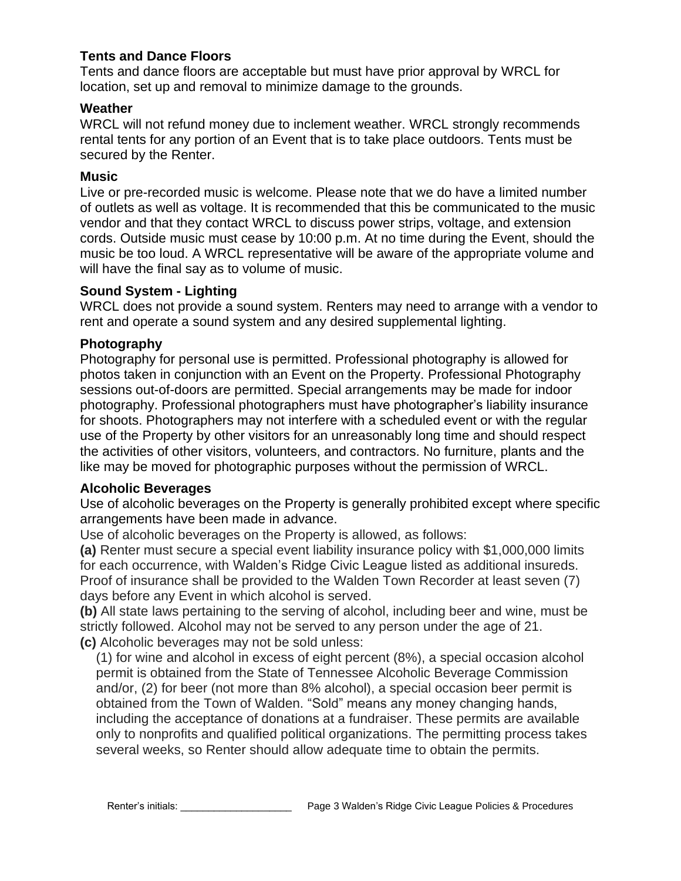## **Tents and Dance Floors**

Tents and dance floors are acceptable but must have prior approval by WRCL for location, set up and removal to minimize damage to the grounds.

#### **Weather**

WRCL will not refund money due to inclement weather. WRCL strongly recommends rental tents for any portion of an Event that is to take place outdoors. Tents must be secured by the Renter.

#### **Music**

Live or pre-recorded music is welcome. Please note that we do have a limited number of outlets as well as voltage. It is recommended that this be communicated to the music vendor and that they contact WRCL to discuss power strips, voltage, and extension cords. Outside music must cease by 10:00 p.m. At no time during the Event, should the music be too loud. A WRCL representative will be aware of the appropriate volume and will have the final say as to volume of music.

#### **Sound System - Lighting**

WRCL does not provide a sound system. Renters may need to arrange with a vendor to rent and operate a sound system and any desired supplemental lighting.

#### **Photography**

Photography for personal use is permitted. Professional photography is allowed for photos taken in conjunction with an Event on the Property. Professional Photography sessions out-of-doors are permitted. Special arrangements may be made for indoor photography. Professional photographers must have photographer's liability insurance for shoots. Photographers may not interfere with a scheduled event or with the regular use of the Property by other visitors for an unreasonably long time and should respect the activities of other visitors, volunteers, and contractors. No furniture, plants and the like may be moved for photographic purposes without the permission of WRCL.

#### **Alcoholic Beverages**

Use of alcoholic beverages on the Property is generally prohibited except where specific arrangements have been made in advance.

Use of alcoholic beverages on the Property is allowed, as follows:

**(a)** Renter must secure a special event liability insurance policy with \$1,000,000 limits for each occurrence, with Walden's Ridge Civic League listed as additional insureds. Proof of insurance shall be provided to the Walden Town Recorder at least seven (7) days before any Event in which alcohol is served.

**(b)** All state laws pertaining to the serving of alcohol, including beer and wine, must be strictly followed. Alcohol may not be served to any person under the age of 21. **(c)** Alcoholic beverages may not be sold unless:

(1) for wine and alcohol in excess of eight percent (8%), a special occasion alcohol permit is obtained from the State of Tennessee Alcoholic Beverage Commission and/or, (2) for beer (not more than 8% alcohol), a special occasion beer permit is obtained from the Town of Walden. "Sold" means any money changing hands, including the acceptance of donations at a fundraiser. These permits are available only to nonprofits and qualified political organizations. The permitting process takes several weeks, so Renter should allow adequate time to obtain the permits.